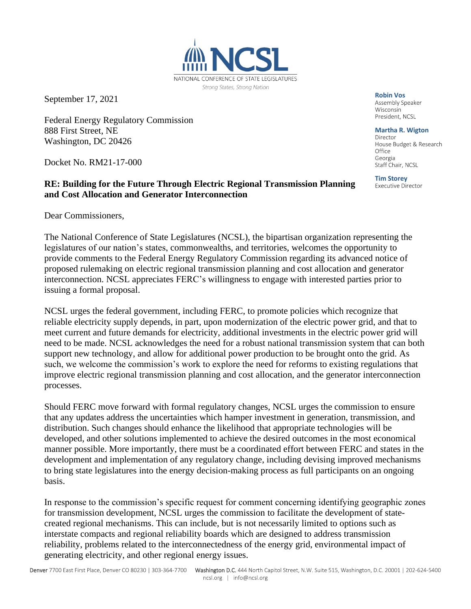

September 17, 2021

Federal Energy Regulatory Commission 888 First Street, NE Washington, DC 20426

Docket No. RM21-17-000

## **RE: Building for the Future Through Electric Regional Transmission Planning and Cost Allocation and Generator Interconnection**

Dear Commissioners,

The National Conference of State Legislatures (NCSL), the bipartisan organization representing the legislatures of our nation's states, commonwealths, and territories, welcomes the opportunity to provide comments to the Federal Energy Regulatory Commission regarding its advanced notice of proposed rulemaking on electric regional transmission planning and cost allocation and generator interconnection. NCSL appreciates FERC's willingness to engage with interested parties prior to issuing a formal proposal.

NCSL urges the federal government, including FERC, to promote policies which recognize that reliable electricity supply depends, in part, upon modernization of the electric power grid, and that to meet current and future demands for electricity, additional investments in the electric power grid will need to be made. NCSL acknowledges the need for a robust national transmission system that can both support new technology, and allow for additional power production to be brought onto the grid. As such, we welcome the commission's work to explore the need for reforms to existing regulations that improve electric regional transmission planning and cost allocation, and the generator interconnection processes.

Should FERC move forward with formal regulatory changes, NCSL urges the commission to ensure that any updates address the uncertainties which hamper investment in generation, transmission, and distribution. Such changes should enhance the likelihood that appropriate technologies will be developed, and other solutions implemented to achieve the desired outcomes in the most economical manner possible. More importantly, there must be a coordinated effort between FERC and states in the development and implementation of any regulatory change, including devising improved mechanisms to bring state legislatures into the energy decision-making process as full participants on an ongoing basis.

In response to the commission's specific request for comment concerning identifying geographic zones for transmission development, NCSL urges the commission to facilitate the development of statecreated regional mechanisms. This can include, but is not necessarily limited to options such as interstate compacts and regional reliability boards which are designed to address transmission reliability, problems related to the interconnectedness of the energy grid, environmental impact of generating electricity, and other regional energy issues.

**Robin Vos**

Wisconsin President, NCSL

**Martha R. Wigton** Director House Budget & Research Office Georgia

**Tim Storey**<br>Executive Director

Staff Chair, NCSL